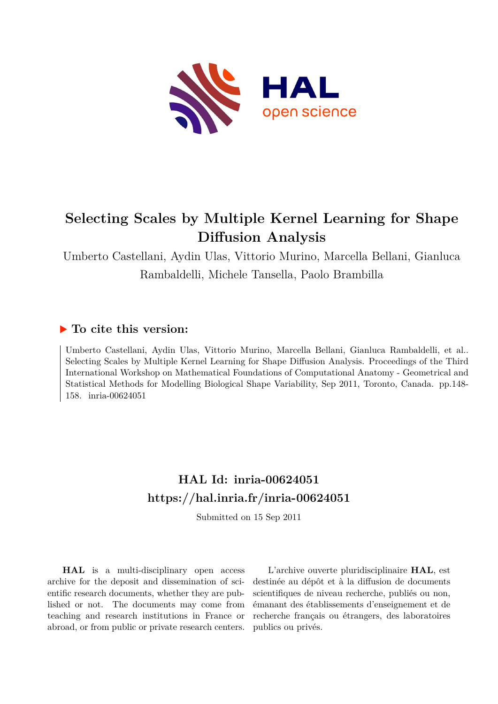

# **Selecting Scales by Multiple Kernel Learning for Shape Diffusion Analysis**

Umberto Castellani, Aydin Ulas, Vittorio Murino, Marcella Bellani, Gianluca Rambaldelli, Michele Tansella, Paolo Brambilla

# **To cite this version:**

Umberto Castellani, Aydin Ulas, Vittorio Murino, Marcella Bellani, Gianluca Rambaldelli, et al.. Selecting Scales by Multiple Kernel Learning for Shape Diffusion Analysis. Proceedings of the Third International Workshop on Mathematical Foundations of Computational Anatomy - Geometrical and Statistical Methods for Modelling Biological Shape Variability, Sep 2011, Toronto, Canada. pp.148- 158. inria-00624051

# **HAL Id: inria-00624051 <https://hal.inria.fr/inria-00624051>**

Submitted on 15 Sep 2011

**HAL** is a multi-disciplinary open access archive for the deposit and dissemination of scientific research documents, whether they are published or not. The documents may come from teaching and research institutions in France or abroad, or from public or private research centers.

L'archive ouverte pluridisciplinaire **HAL**, est destinée au dépôt et à la diffusion de documents scientifiques de niveau recherche, publiés ou non, émanant des établissements d'enseignement et de recherche français ou étrangers, des laboratoires publics ou privés.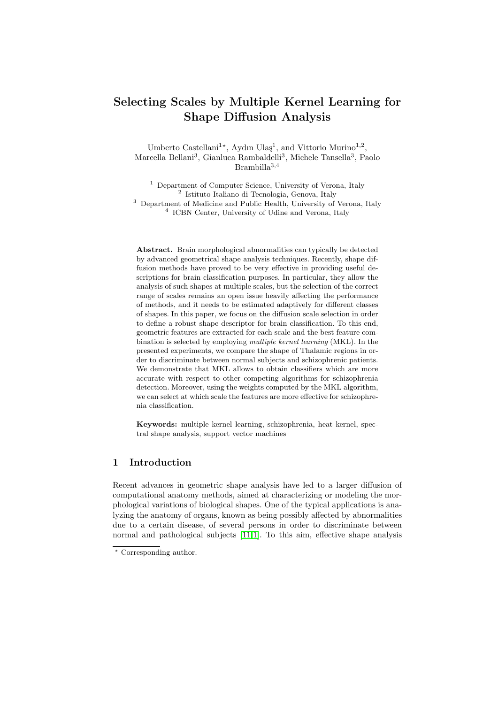# Selecting Scales by Multiple Kernel Learning for Shape Diffusion Analysis

Umberto Castellani<sup>1\*</sup>, Aydın Ulaş<sup>1</sup>, and Vittorio Murino<sup>1,2</sup>, Marcella Bellani<sup>3</sup>, Gianluca Rambaldelli<sup>3</sup>, Michele Tansella<sup>3</sup>, Paolo  $\mbox{Brambilla}^{3,4}$ 

<sup>1</sup> Department of Computer Science, University of Verona, Italy 2 Istituto Italiano di Tecnologia, Genova, Italy <sup>3</sup> Department of Medicine and Public Health, University of Verona, Italy 4 ICBN Center, University of Udine and Verona, Italy

Abstract. Brain morphological abnormalities can typically be detected by advanced geometrical shape analysis techniques. Recently, shape diffusion methods have proved to be very effective in providing useful descriptions for brain classification purposes. In particular, they allow the analysis of such shapes at multiple scales, but the selection of the correct range of scales remains an open issue heavily affecting the performance of methods, and it needs to be estimated adaptively for different classes of shapes. In this paper, we focus on the diffusion scale selection in order to define a robust shape descriptor for brain classification. To this end, geometric features are extracted for each scale and the best feature combination is selected by employing multiple kernel learning (MKL). In the presented experiments, we compare the shape of Thalamic regions in order to discriminate between normal subjects and schizophrenic patients. We demonstrate that MKL allows to obtain classifiers which are more accurate with respect to other competing algorithms for schizophrenia detection. Moreover, using the weights computed by the MKL algorithm, we can select at which scale the features are more effective for schizophrenia classification.

Keywords: multiple kernel learning, schizophrenia, heat kernel, spectral shape analysis, support vector machines

# 1 Introduction

Recent advances in geometric shape analysis have led to a larger diffusion of computational anatomy methods, aimed at characterizing or modeling the morphological variations of biological shapes. One of the typical applications is analyzing the anatomy of organs, known as being possibly affected by abnormalities due to a certain disease, of several persons in order to discriminate between normal and pathological subjects [11,1]. To this aim, effective shape analysis

<sup>\*</sup> Corresponding author.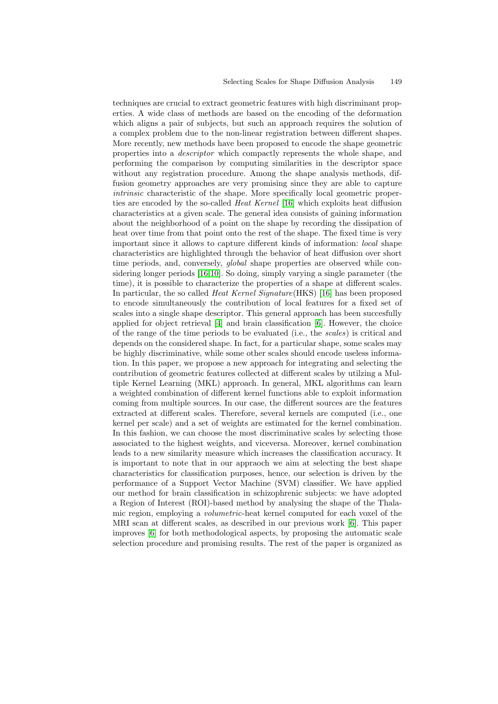techniques are crucial to extract geometric features with high discriminant properties. A wide class of methods are based on the encoding of the deformation which aligns a pair of subjects, but such an approach requires the solution of a complex problem due to the non-linear registration between different shapes. More recently, new methods have been proposed to encode the shape geometric properties into a descriptor which compactly represents the whole shape, and performing the comparison by computing similarities in the descriptor space without any registration procedure. Among the shape analysis methods, diffusion geometry approaches are very promising since they are able to capture intrinsic characteristic of the shape. More specifically local geometric properties are encoded by the so-called *Heat Kernel* [16] which exploits heat diffusion characteristics at a given scale. The general idea consists of gaining information about the neighborhood of a point on the shape by recording the dissipation of heat over time from that point onto the rest of the shape. The fixed time is very important since it allows to capture different kinds of information: local shape characteristics are highlighted through the behavior of heat diffusion over short time periods, and, conversely, *global* shape properties are observed while considering longer periods [16,10]. So doing, simply varying a single parameter (the time), it is possible to characterize the properties of a shape at different scales. In particular, the so called *Heat Kernel Signature* (HKS) [16] has been proposed to encode simultaneously the contribution of local features for a fixed set of scales into a single shape descriptor. This general approach has been succesfully applied for object retrieval [4] and brain classification [6]. However, the choice of the range of the time periods to be evaluated (i.e., the scales) is critical and depends on the considered shape. In fact, for a particular shape, some scales may be highly discriminative, while some other scales should encode useless information. In this paper, we propose a new approach for integrating and selecting the contribution of geometric features collected at different scales by utilzing a Multiple Kernel Learning (MKL) approach. In general, MKL algorithms can learn a weighted combination of different kernel functions able to exploit information coming from multiple sources. In our case, the different sources are the features extracted at different scales. Therefore, several kernels are computed (i.e., one kernel per scale) and a set of weights are estimated for the kernel combination. In this fashion, we can choose the most discriminative scales by selecting those associated to the highest weights, and viceversa. Moreover, kernel combination leads to a new similarity measure which increases the classification accuracy. It is important to note that in our appraoch we aim at selecting the best shape characteristics for classification purposes, hence, our selection is driven by the performance of a Support Vector Machine (SVM) classifier. We have applied our method for brain classification in schizophrenic subjects: we have adopted a Region of Interest (ROI)-based method by analysing the shape of the Thalamic region, employing a volumetric-heat kernel computed for each voxel of the MRI scan at different scales, as described in our previous work [6]. This paper improves [6] for both methodological aspects, by proposing the automatic scale selection procedure and promising results. The rest of the paper is organized as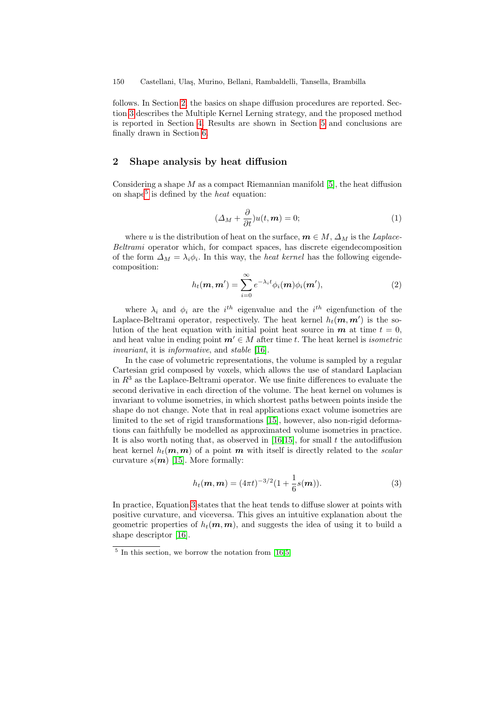follows. In Section 2, the basics on shape diffusion procedures are reported. Section 3 describes the Multiple Kernel Lerning strategy, and the proposed method is reported in Section 4. Results are shown in Section 5 and conclusions are finally drawn in Section 6.

### 2 Shape analysis by heat diffusion

Considering a shape  $M$  as a compact Riemannian manifold [5], the heat diffusion on shape<sup>5</sup> is defined by the *heat* equation:

$$
(\Delta_M + \frac{\partial}{\partial t})u(t, \mathbf{m}) = 0; \tag{1}
$$

where u is the distribution of heat on the surface,  $m \in M$ ,  $\Delta_M$  is the Laplace-Beltrami operator which, for compact spaces, has discrete eigendecomposition of the form  $\Delta_M = \lambda_i \phi_i$ . In this way, the *heat kernel* has the following eigendecomposition:

$$
h_t(\mathbf{m}, \mathbf{m}') = \sum_{i=0}^{\infty} e^{-\lambda_i t} \phi_i(\mathbf{m}) \phi_i(\mathbf{m}'), \qquad (2)
$$

where  $\lambda_i$  and  $\phi_i$  are the  $i^{th}$  eigenvalue and the  $i^{th}$  eigenfunction of the Laplace-Beltrami operator, respectively. The heat kernel  $h_t(m, m')$  is the solution of the heat equation with initial point heat source in  $m$  at time  $t = 0$ , and heat value in ending point  $m' \in M$  after time t. The heat kernel is *isometric* invariant, it is informative, and stable [16].

In the case of volumetric representations, the volume is sampled by a regular Cartesian grid composed by voxels, which allows the use of standard Laplacian in  $R<sup>3</sup>$  as the Laplace-Beltrami operator. We use finite differences to evaluate the second derivative in each direction of the volume. The heat kernel on volumes is invariant to volume isometries, in which shortest paths between points inside the shape do not change. Note that in real applications exact volume isometries are limited to the set of rigid transformations [15], however, also non-rigid deformations can faithfully be modelled as approximated volume isometries in practice. It is also worth noting that, as observed in  $[16,15]$ , for small t the autodiffusion heat kernel  $h_t(m, m)$  of a point m with itself is directly related to the scalar curvature  $s(m)$  [15]. More formally:

$$
h_t(\mathbf{m}, \mathbf{m}) = (4\pi t)^{-3/2} (1 + \frac{1}{6}s(\mathbf{m})).
$$
\n(3)

In practice, Equation 3 states that the heat tends to diffuse slower at points with positive curvature, and viceversa. This gives an intuitive explanation about the geometric properties of  $h_t(m, m)$ , and suggests the idea of using it to build a shape descriptor [16].

<sup>&</sup>lt;sup>5</sup> In this section, we borrow the notation from [16,5]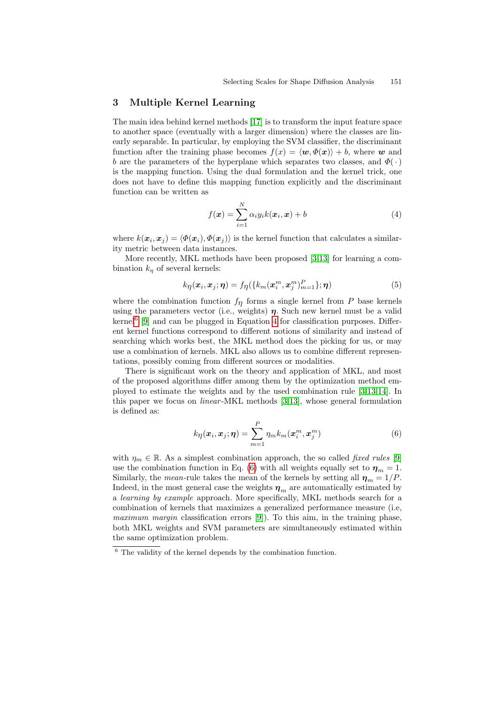## 3 Multiple Kernel Learning

The main idea behind kernel methods [17] is to transform the input feature space to another space (eventually with a larger dimension) where the classes are linearly separable. In particular, by employing the SVM classifier, the discriminant function after the training phase becomes  $f(x) = \langle w, \Phi(x) \rangle + b$ , where w and b are the parameters of the hyperplane which separates two classes, and  $\Phi(\cdot)$ is the mapping function. Using the dual formulation and the kernel trick, one does not have to define this mapping function explicitly and the discriminant function can be written as

$$
f(\boldsymbol{x}) = \sum_{i=1}^{N} \alpha_i y_i k(\boldsymbol{x}_i, \boldsymbol{x}) + b
$$
 (4)

where  $k(\bm{x}_i, \bm{x}_j) = \langle \Phi(\bm{x}_i), \Phi(\bm{x}_j) \rangle$  is the kernel function that calculates a similarity metric between data instances.

More recently, MKL methods have been proposed [3,13] for learning a combination  $k_n$  of several kernels:

$$
k_{\eta}(\boldsymbol{x}_i, \boldsymbol{x}_j; \boldsymbol{\eta}) = f_{\eta}(\{k_m(\boldsymbol{x}_i^m, \boldsymbol{x}_j^m)_{m=1}^P\}; \boldsymbol{\eta})
$$
(5)

where the combination function  $f_{\eta}$  forms a single kernel from P base kernels using the parameters vector (i.e., weights)  $\eta$ . Such new kernel must be a valid kernel<sup>6</sup> [9] and can be plugged in Equation 4 for classification purposes. Different kernel functions correspond to different notions of similarity and instead of searching which works best, the MKL method does the picking for us, or may use a combination of kernels. MKL also allows us to combine different representations, possibly coming from different sources or modalities.

There is significant work on the theory and application of MKL, and most of the proposed algorithms differ among them by the optimization method employed to estimate the weights and by the used combination rule [3,13,14]. In this paper we focus on linear -MKL methods [3,13], whose general formulation is defined as:

$$
k_{\eta}(\boldsymbol{x}_i, \boldsymbol{x}_j; \boldsymbol{\eta}) = \sum_{m=1}^P \eta_m k_m(\boldsymbol{x}_i^m, \boldsymbol{x}_j^m)
$$
(6)

with  $\eta_m \in \mathbb{R}$ . As a simplest combination approach, the so called *fixed rules* [9] use the combination function in Eq. (6) with all weights equally set to  $\eta_m = 1$ . Similarly, the *mean*-rule takes the mean of the kernels by setting all  $\eta_m = 1/P$ . Indeed, in the most general case the weights  $\eta_m$  are automatically estimated by a learning by example approach. More specifically, MKL methods search for a combination of kernels that maximizes a generalized performance measure (i.e, maximum margin classification errors [9]). To this aim, in the training phase, both MKL weights and SVM parameters are simultaneously estimated within the same optimization problem.

 $6$  The validity of the kernel depends by the combination function.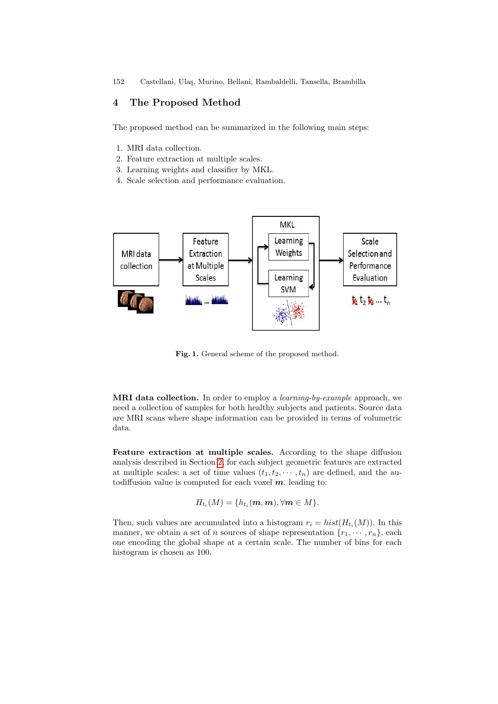152 Castellani, Ulaş, Murino, Bellani, Rambaldelli, Tansella, Brambilla

## 4 The Proposed Method

The proposed method can be summarized in the following main steps:

- 1. MRI data collection.
- 2. Feature extraction at multiple scales.
- 3. Learning weights and classifier by MKL.
- 4. Scale selection and performance evaluation.



Fig. 1. General scheme of the proposed method.

MRI data collection. In order to employ a learning-by-example approach, we need a collection of samples for both healthy subjects and patients. Source data are MRI scans where shape information can be provided in terms of volumetric data.

Feature extraction at multiple scales. According to the shape diffusion analysis described in Section 2, for each subject geometric features are extracted at multiple scales: a set of time values  $(t_1, t_2, \dots, t_n)$  are defined, and the autodiffusion value is computed for each voxel  $m$ , leading to:

$$
H_{t_i}(M) = \{h_{t_i}(\mathbf{m}, \mathbf{m}), \forall \mathbf{m} \in M\}.
$$

Then, such values are accumulated into a histogram  $r_i = hist(H_{t_i}(M))$ . In this manner, we obtain a set of *n* sources of shape representation  $\{r_1, \dots, r_n\}$ , each one encoding the global shape at a certain scale. The number of bins for each histogram is chosen as 100.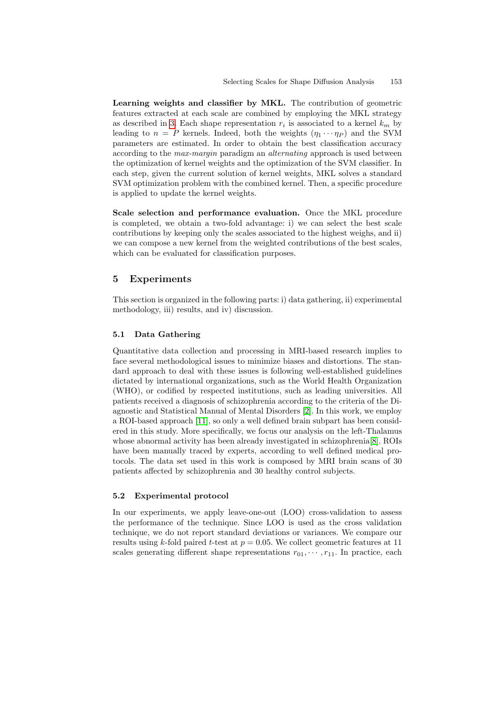Learning weights and classifier by MKL. The contribution of geometric features extracted at each scale are combined by employing the MKL strategy as described in 3. Each shape representation  $r_i$  is associated to a kernel  $k_m$  by leading to  $n = P$  kernels. Indeed, both the weights  $(\eta_1 \cdots \eta_P)$  and the SVM parameters are estimated. In order to obtain the best classification accuracy according to the *max-margin* paradigm an *alternating* approach is used between the optimization of kernel weights and the optimization of the SVM classifier. In each step, given the current solution of kernel weights, MKL solves a standard SVM optimization problem with the combined kernel. Then, a specific procedure is applied to update the kernel weights.

Scale selection and performance evaluation. Once the MKL procedure is completed, we obtain a two-fold advantage: i) we can select the best scale contributions by keeping only the scales associated to the highest weighs, and ii) we can compose a new kernel from the weighted contributions of the best scales, which can be evaluated for classification purposes.

### 5 Experiments

This section is organized in the following parts: i) data gathering, ii) experimental methodology, iii) results, and iv) discussion.

#### 5.1 Data Gathering

Quantitative data collection and processing in MRI-based research implies to face several methodological issues to minimize biases and distortions. The standard approach to deal with these issues is following well-established guidelines dictated by international organizations, such as the World Health Organization (WHO), or codified by respected institutions, such as leading universities. All patients received a diagnosis of schizophrenia according to the criteria of the Diagnostic and Statistical Manual of Mental Disorders [2]. In this work, we employ a ROI-based approach [11], so only a well defined brain subpart has been considered in this study. More specifically, we focus our analysis on the left-Thalamus whose abnormal activity has been already investigated in schizophrenia[8]. ROIs have been manually traced by experts, according to well defined medical protocols. The data set used in this work is composed by MRI brain scans of 30 patients affected by schizophrenia and 30 healthy control subjects.

#### 5.2 Experimental protocol

In our experiments, we apply leave-one-out (LOO) cross-validation to assess the performance of the technique. Since LOO is used as the cross validation technique, we do not report standard deviations or variances. We compare our results using k-fold paired t-test at  $p = 0.05$ . We collect geometric features at 11 scales generating different shape representations  $r_{01}, \cdots, r_{11}$ . In practice, each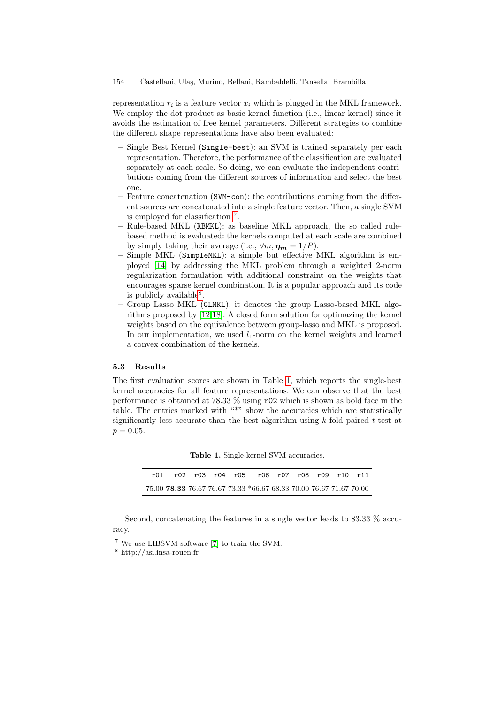#### 154 Castellani, Ulaş, Murino, Bellani, Rambaldelli, Tansella, Brambilla

representation  $r_i$  is a feature vector  $x_i$  which is plugged in the MKL framework. We employ the dot product as basic kernel function (i.e., linear kernel) since it avoids the estimation of free kernel parameters. Different strategies to combine the different shape representations have also been evaluated:

- Single Best Kernel (Single-best): an SVM is trained separately per each representation. Therefore, the performance of the classification are evaluated separately at each scale. So doing, we can evaluate the independent contributions coming from the different sources of information and select the best one.
- Feature concatenation (SVM-con): the contributions coming from the different sources are concatenated into a single feature vector. Then, a single SVM is employed for classification 7 .
- Rule-based MKL (RBMKL): as baseline MKL approach, the so called rulebased method is evaluated: the kernels computed at each scale are combined by simply taking their average (i.e.,  $\forall m, \eta_m = 1/P$ ).
- Simple MKL (SimpleMKL): a simple but effective MKL algorithm is employed [14] by addressing the MKL problem through a weighted 2-norm regularization formulation with additional constraint on the weights that encourages sparse kernel combination. It is a popular approach and its code is publicly available<sup>8</sup>.
- Group Lasso MKL (GLMKL): it denotes the group Lasso-based MKL algorithms proposed by [12,18]. A closed form solution for optimazing the kernel weights based on the equivalence between group-lasso and MKL is proposed. In our implementation, we used  $l_1$ -norm on the kernel weights and learned a convex combination of the kernels.

#### 5.3 Results

The first evaluation scores are shown in Table 1, which reports the single-best kernel accuracies for all feature representations. We can observe that the best performance is obtained at 78.33 % using r02 which is shown as bold face in the table. The entries marked with "\*" show the accuracies which are statistically significantly less accurate than the best algorithm using  $k$ -fold paired  $t$ -test at  $p = 0.05$ .

| <b>Table 1.</b> Single-kernel SVM accuracies. |  |  |
|-----------------------------------------------|--|--|
|-----------------------------------------------|--|--|

|  |  | r01 r02 r03 r04 r05 r06 r07 r08 r09 r10 r11                        |  |  |  |
|--|--|--------------------------------------------------------------------|--|--|--|
|  |  | 75.00 78.33 76.67 76.67 73.33 *66.67 68.33 70.00 76.67 71.67 70.00 |  |  |  |

Second, concatenating the features in a single vector leads to 83.33 % accuracy.

<sup>7</sup> We use LIBSVM software [7] to train the SVM.

<sup>8</sup> http://asi.insa-rouen.fr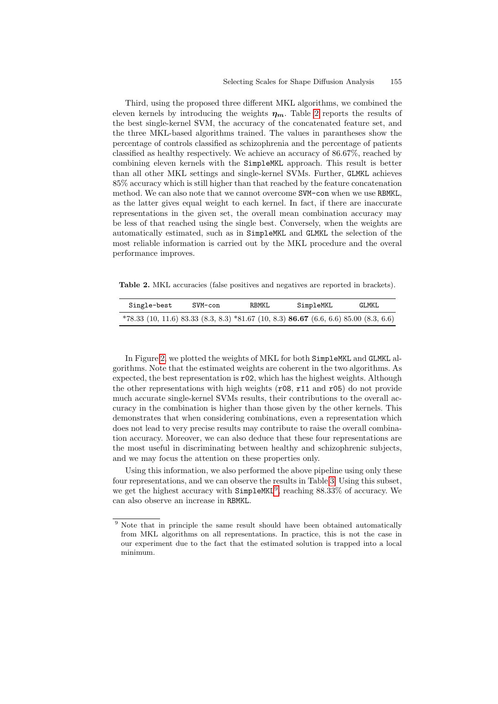Third, using the proposed three different MKL algorithms, we combined the eleven kernels by introducing the weights  $\eta_m$ . Table 2 reports the results of the best single-kernel SVM, the accuracy of the concatenated feature set, and the three MKL-based algorithms trained. The values in parantheses show the percentage of controls classified as schizophrenia and the percentage of patients classified as healthy respectively. We achieve an accuracy of 86.67%, reached by combining eleven kernels with the SimpleMKL approach. This result is better than all other MKL settings and single-kernel SVMs. Further, GLMKL achieves 85% accuracy which is still higher than that reached by the feature concatenation method. We can also note that we cannot overcome SVM-con when we use RBMKL, as the latter gives equal weight to each kernel. In fact, if there are inaccurate representations in the given set, the overall mean combination accuracy may be less of that reached using the single best. Conversely, when the weights are automatically estimated, such as in SimpleMKL and GLMKL the selection of the most reliable information is carried out by the MKL procedure and the overal performance improves.

Table 2. MKL accuracies (false positives and negatives are reported in brackets).

| Single-best                                                                                      | SVM-con | <b>RBMKL</b> | SimpleMKL | GLMKL |
|--------------------------------------------------------------------------------------------------|---------|--------------|-----------|-------|
| $*78.33$ (10, 11.6) 83.33 (8.3, 8.3) $*81.67$ (10, 8.3) <b>86.67</b> (6.6, 6.6) 85.00 (8.3, 6.6) |         |              |           |       |

In Figure 2, we plotted the weights of MKL for both SimpleMKL and GLMKL algorithms. Note that the estimated weights are coherent in the two algorithms. As expected, the best representation is r02, which has the highest weights. Although the other representations with high weights (r08, r11 and r05) do not provide much accurate single-kernel SVMs results, their contributions to the overall accuracy in the combination is higher than those given by the other kernels. This demonstrates that when considering combinations, even a representation which does not lead to very precise results may contribute to raise the overall combination accuracy. Moreover, we can also deduce that these four representations are the most useful in discriminating between healthy and schizophrenic subjects, and we may focus the attention on these properties only.

Using this information, we also performed the above pipeline using only these four representations, and we can observe the results in Table 3. Using this subset, we get the highest accuracy with  $Simpl$ eMKL<sup>9</sup>, reaching 88.33% of accuracy. We can also observe an increase in RBMKL.

<sup>&</sup>lt;sup>9</sup> Note that in principle the same result should have been obtained automatically from MKL algorithms on all representations. In practice, this is not the case in our experiment due to the fact that the estimated solution is trapped into a local minimum.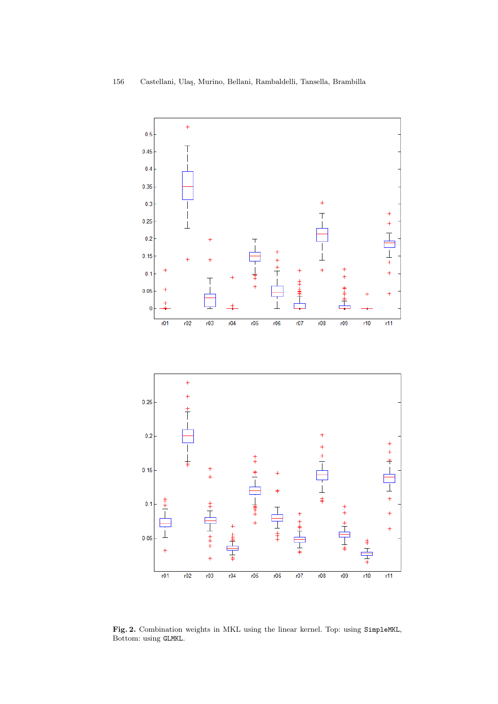

Fig. 2. Combination weights in MKL using the linear kernel. Top: using SimpleMKL, Bottom: using GLMKL.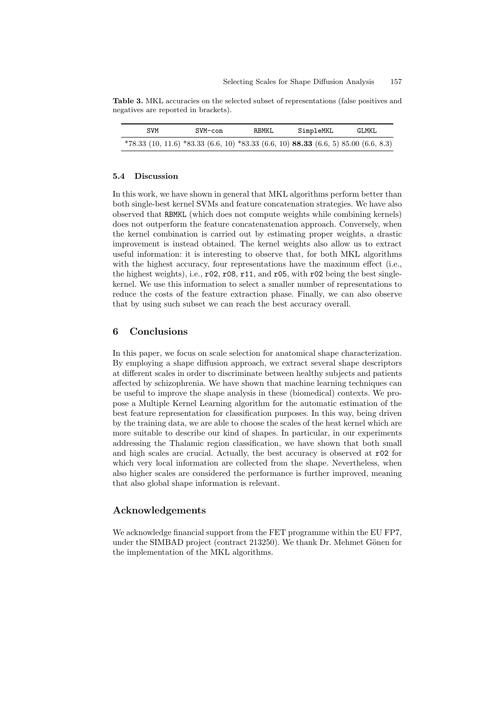Table 3. MKL accuracies on the selected subset of representations (false positives and negatives are reported in brackets).

| SVM                                                                                              | SVM-con | <b>RBMKL</b> | SimpleMKL | GLMKL |
|--------------------------------------------------------------------------------------------------|---------|--------------|-----------|-------|
| $*78.33$ (10, 11.6) $*83.33$ (6.6, 10) $*83.33$ (6.6, 10) <b>88.33</b> (6.6, 5) 85.00 (6.6, 8.3) |         |              |           |       |

#### 5.4 Discussion

In this work, we have shown in general that MKL algorithms perform better than both single-best kernel SVMs and feature concatenation strategies. We have also observed that RBMKL (which does not compute weights while combining kernels) does not outperform the feature concatenatenation approach. Conversely, when the kernel combination is carried out by estimating proper weights, a drastic improvement is instead obtained. The kernel weights also allow us to extract useful information: it is interesting to observe that, for both MKL algorithms with the highest accuracy, four representations have the maximum effect (i.e., the highest weights), i.e.,  $r02$ ,  $r08$ ,  $r11$ , and  $r05$ , with  $r02$  being the best singlekernel. We use this information to select a smaller number of representations to reduce the costs of the feature extraction phase. Finally, we can also observe that by using such subset we can reach the best accuracy overall.

#### 6 Conclusions

In this paper, we focus on scale selection for anatomical shape characterization. By employing a shape diffusion approach, we extract several shape descriptors at different scales in order to discriminate between healthy subjects and patients affected by schizophrenia. We have shown that machine learning techniques can be useful to improve the shape analysis in these (biomedical) contexts. We propose a Multiple Kernel Learning algorithm for the automatic estimation of the best feature representation for classification purposes. In this way, being driven by the training data, we are able to choose the scales of the heat kernel which are more suitable to describe our kind of shapes. In particular, in our experiments addressing the Thalamic region classification, we have shown that both small and high scales are crucial. Actually, the best accuracy is observed at r02 for which very local information are collected from the shape. Nevertheless, when also higher scales are considered the performance is further improved, meaning that also global shape information is relevant.

#### Acknowledgements

We acknowledge financial support from the FET programme within the EU FP7, under the SIMBAD project (contract 213250). We thank Dr. Mehmet Gönen for the implementation of the MKL algorithms.